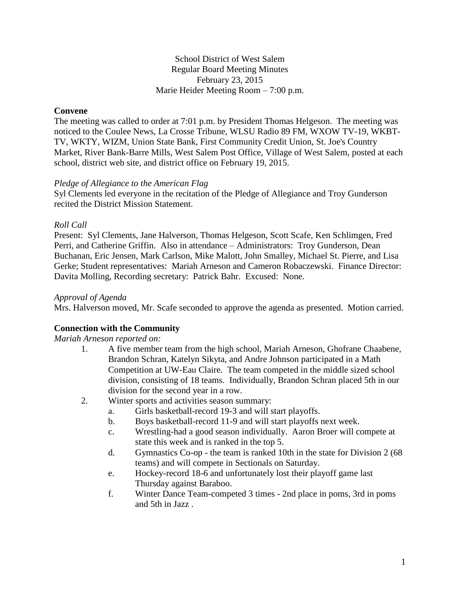### School District of West Salem Regular Board Meeting Minutes February 23, 2015 Marie Heider Meeting Room – 7:00 p.m.

## **Convene**

The meeting was called to order at 7:01 p.m. by President Thomas Helgeson. The meeting was noticed to the Coulee News, La Crosse Tribune, WLSU Radio 89 FM, WXOW TV-19, WKBT-TV, WKTY, WIZM, Union State Bank, First Community Credit Union, St. Joe's Country Market, River Bank-Barre Mills, West Salem Post Office, Village of West Salem, posted at each school, district web site, and district office on February 19, 2015.

#### *Pledge of Allegiance to the American Flag*

Syl Clements led everyone in the recitation of the Pledge of Allegiance and Troy Gunderson recited the District Mission Statement.

### *Roll Call*

Present: Syl Clements, Jane Halverson, Thomas Helgeson, Scott Scafe, Ken Schlimgen, Fred Perri, and Catherine Griffin. Also in attendance – Administrators: Troy Gunderson, Dean Buchanan, Eric Jensen, Mark Carlson, Mike Malott, John Smalley, Michael St. Pierre, and Lisa Gerke; Student representatives: Mariah Arneson and Cameron Robaczewski. Finance Director: Davita Molling, Recording secretary: Patrick Bahr. Excused: None.

#### *Approval of Agenda*

Mrs. Halverson moved, Mr. Scafe seconded to approve the agenda as presented. Motion carried.

# **Connection with the Community**

### *Mariah Arneson reported on:*

- 1. A five member team from the high school, Mariah Arneson, Ghofrane Chaabene, Brandon Schran, Katelyn Sikyta, and Andre Johnson participated in a Math Competition at UW-Eau Claire. The team competed in the middle sized school division, consisting of 18 teams. Individually, Brandon Schran placed 5th in our division for the second year in a row.
- 2. Winter sports and activities season summary:
	- a. Girls basketball-record 19-3 and will start playoffs.
	- b. Boys basketball-record 11-9 and will start playoffs next week.
	- c. Wrestling-had a good season individually. Aaron Broer will compete at state this week and is ranked in the top 5.
	- d. Gymnastics Co-op the team is ranked 10th in the state for Division 2 (68 teams) and will compete in Sectionals on Saturday.
	- e. Hockey-record 18-6 and unfortunately lost their playoff game last Thursday against Baraboo.
	- f. Winter Dance Team-competed 3 times 2nd place in poms, 3rd in poms and 5th in Jazz .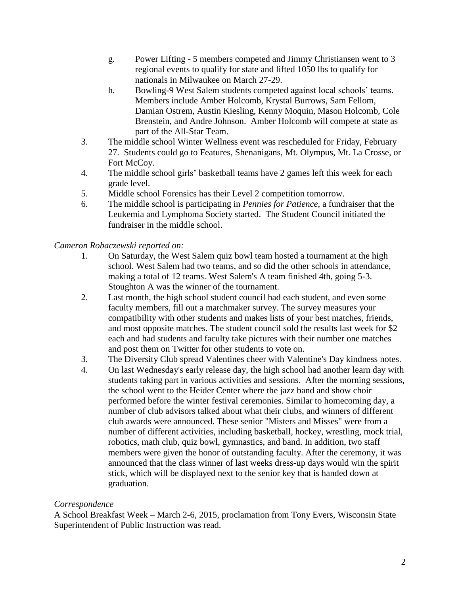- g. Power Lifting 5 members competed and Jimmy Christiansen went to 3 regional events to qualify for state and lifted 1050 lbs to qualify for nationals in Milwaukee on March 27-29.
- h. Bowling-9 West Salem students competed against local schools' teams. Members include Amber Holcomb, Krystal Burrows, Sam Fellom, Damian Ostrem, Austin Kiesling, Kenny Moquin, Mason Holcomb, Cole Brenstein, and Andre Johnson. Amber Holcomb will compete at state as part of the All-Star Team.
- 3. The middle school Winter Wellness event was rescheduled for Friday, February 27. Students could go to Features, Shenanigans, Mt. Olympus, Mt. La Crosse, or Fort McCoy.
- 4. The middle school girls' basketball teams have 2 games left this week for each grade level.
- 5. Middle school Forensics has their Level 2 competition tomorrow.
- 6. The middle school is participating in *Pennies for Patience*, a fundraiser that the Leukemia and Lymphoma Society started. The Student Council initiated the fundraiser in the middle school.

# *Cameron Robaczewski reported on:*

- 1. On Saturday, the West Salem quiz bowl team hosted a tournament at the high school. West Salem had two teams, and so did the other schools in attendance, making a total of 12 teams. West Salem's A team finished 4th, going 5-3. Stoughton A was the winner of the tournament.
- 2. Last month, the high school student council had each student, and even some faculty members, fill out a matchmaker survey. The survey measures your compatibility with other students and makes lists of your best matches, friends, and most opposite matches. The student council sold the results last week for \$2 each and had students and faculty take pictures with their number one matches and post them on Twitter for other students to vote on.
- 3. The Diversity Club spread Valentines cheer with Valentine's Day kindness notes.
- 4. On last Wednesday's early release day, the high school had another learn day with students taking part in various activities and sessions. After the morning sessions, the school went to the Heider Center where the jazz band and show choir performed before the winter festival ceremonies. Similar to homecoming day, a number of club advisors talked about what their clubs, and winners of different club awards were announced. These senior "Misters and Misses" were from a number of different activities, including basketball, hockey, wrestling, mock trial, robotics, math club, quiz bowl, gymnastics, and band. In addition, two staff members were given the honor of outstanding faculty. After the ceremony, it was announced that the class winner of last weeks dress-up days would win the spirit stick, which will be displayed next to the senior key that is handed down at graduation.

# *Correspondence*

A School Breakfast Week – March 2-6, 2015, proclamation from Tony Evers, Wisconsin State Superintendent of Public Instruction was read.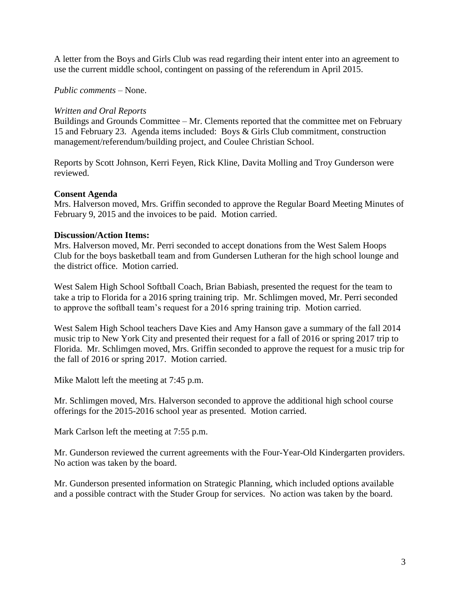A letter from the Boys and Girls Club was read regarding their intent enter into an agreement to use the current middle school, contingent on passing of the referendum in April 2015.

## *Public comments –* None.

### *Written and Oral Reports*

Buildings and Grounds Committee – Mr. Clements reported that the committee met on February 15 and February 23. Agenda items included: Boys & Girls Club commitment, construction management/referendum/building project, and Coulee Christian School.

Reports by Scott Johnson, Kerri Feyen, Rick Kline, Davita Molling and Troy Gunderson were reviewed.

#### **Consent Agenda**

Mrs. Halverson moved, Mrs. Griffin seconded to approve the Regular Board Meeting Minutes of February 9, 2015 and the invoices to be paid. Motion carried.

#### **Discussion/Action Items:**

Mrs. Halverson moved, Mr. Perri seconded to accept donations from the West Salem Hoops Club for the boys basketball team and from Gundersen Lutheran for the high school lounge and the district office. Motion carried.

West Salem High School Softball Coach, Brian Babiash, presented the request for the team to take a trip to Florida for a 2016 spring training trip. Mr. Schlimgen moved, Mr. Perri seconded to approve the softball team's request for a 2016 spring training trip. Motion carried.

West Salem High School teachers Dave Kies and Amy Hanson gave a summary of the fall 2014 music trip to New York City and presented their request for a fall of 2016 or spring 2017 trip to Florida. Mr. Schlimgen moved, Mrs. Griffin seconded to approve the request for a music trip for the fall of 2016 or spring 2017. Motion carried.

Mike Malott left the meeting at 7:45 p.m.

Mr. Schlimgen moved, Mrs. Halverson seconded to approve the additional high school course offerings for the 2015-2016 school year as presented. Motion carried.

Mark Carlson left the meeting at 7:55 p.m.

Mr. Gunderson reviewed the current agreements with the Four-Year-Old Kindergarten providers. No action was taken by the board.

Mr. Gunderson presented information on Strategic Planning, which included options available and a possible contract with the Studer Group for services. No action was taken by the board.